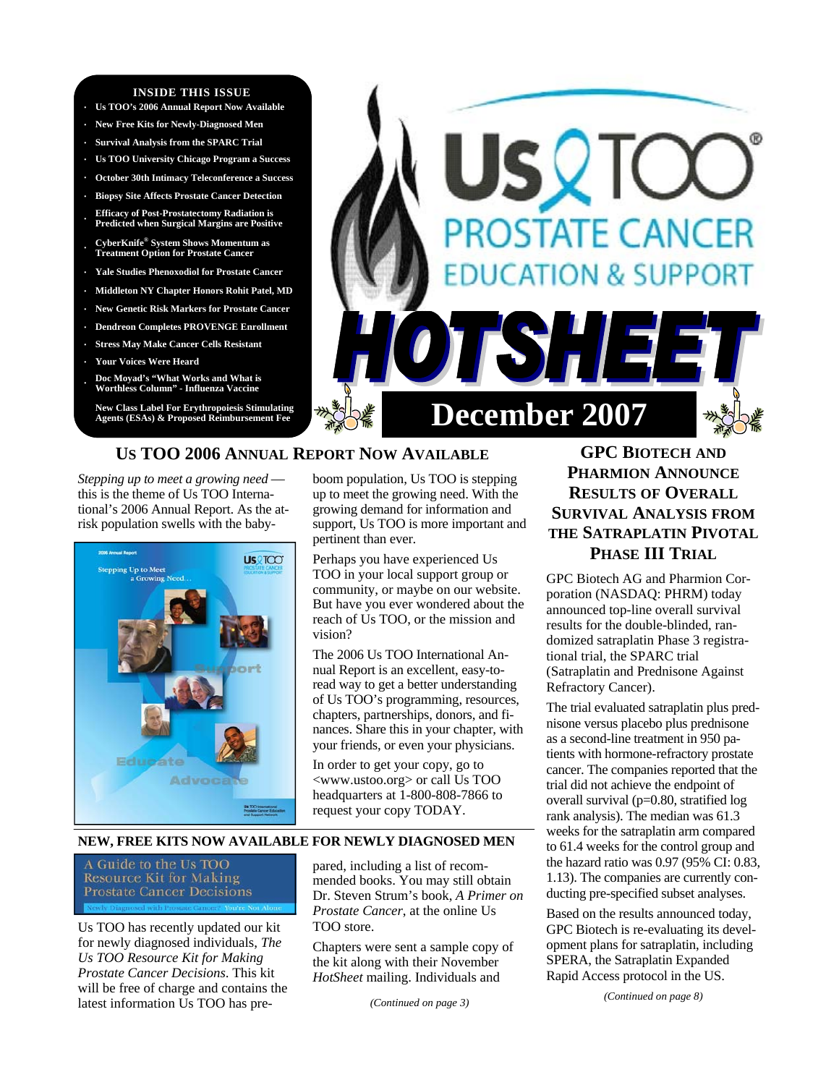#### **INSIDE THIS ISSUE**

- **· Us TOO's 2006 Annual Report Now Available**
- **· New Free Kits for Newly-Diagnosed Men**
- **· Survival Analysis from the SPARC Trial**
- **· Us TOO University Chicago Program a Success**
- **· October 30th Intimacy Teleconference a Success**
- **· Biopsy Site Affects Prostate Cancer Detection · Efficacy of Post-Prostatectomy Radiation is Predicted when Surgical Margins are Positive**
- **· CyberKnife® System Shows Momentum as Treatment Option for Prostate Cancer**
- **· Yale Studies Phenoxodiol for Prostate Cancer**
- **· Middleton NY Chapter Honors Rohit Patel, MD**
- **· New Genetic Risk Markers for Prostate Cancer**
- **· Dendreon Completes PROVENGE Enrollment**
- **· Stress May Make Cancer Cells Resistant**
- **· Your Voices Were Heard**
- **· Doc Moyad's "What Works and What is Worthless Column" Influenza Vaccine**

**New Class Label For Erythropoiesis Stimulating** 



# **US TOO 2006 ANNUAL REPORT NOW AVAILABLE**

*Stepping up to meet a growing need*  this is the theme of Us TOO International's 2006 Annual Report. As the atrisk population swells with the baby-



boom population, Us TOO is stepping up to meet the growing need. With the growing demand for information and support, Us TOO is more important and pertinent than ever.

Perhaps you have experienced Us TOO in your local support group or community, or maybe on our website. But have you ever wondered about the reach of Us TOO, or the mission and vision?

The 2006 Us TOO International Annual Report is an excellent, easy-toread way to get a better understanding of Us TOO's programming, resources, chapters, partnerships, donors, and finances. Share this in your chapter, with your friends, or even your physicians.

In order to get your copy, go to <www.ustoo.org> or call Us TOO headquarters at 1-800-808-7866 to request your copy TODAY.

#### **NEW, FREE KITS NOW AVAILABLE FOR NEWLY DIAGNOSED MEN**

A Guide to the Us TOO **Resource Kit for Making Prostate Cancer Decisions** 

Us TOO has recently updated our kit for newly diagnosed individuals, *The Us TOO Resource Kit for Making Prostate Cancer Decisions*. This kit will be free of charge and contains the latest information Us TOO has pre-

pared, including a list of recommended books. You may still obtain Dr. Steven Strum's book, *A Primer on Prostate Cancer*, at the online Us TOO store.

Chapters were sent a sample copy of the kit along with their November *HotSheet* mailing. Individuals and

*(Continued on page 3)* 

# **GPC BIOTECH AND PHARMION ANNOUNCE RESULTS OF OVERALL SURVIVAL ANALYSIS FROM THE SATRAPLATIN PIVOTAL PHASE III TRIAL**

GPC Biotech AG and Pharmion Corporation (NASDAQ: PHRM) today announced top-line overall survival results for the double-blinded, randomized satraplatin Phase 3 registrational trial, the SPARC trial (Satraplatin and Prednisone Against Refractory Cancer).

The trial evaluated satraplatin plus prednisone versus placebo plus prednisone as a second-line treatment in 950 patients with hormone-refractory prostate cancer. The companies reported that the trial did not achieve the endpoint of overall survival (p=0.80, stratified log rank analysis). The median was 61.3 weeks for the satraplatin arm compared to 61.4 weeks for the control group and the hazard ratio was 0.97 (95% CI: 0.83, 1.13). The companies are currently conducting pre-specified subset analyses.

Based on the results announced today, GPC Biotech is re-evaluating its development plans for satraplatin, including SPERA, the Satraplatin Expanded Rapid Access protocol in the US.

*(Continued on page 8)*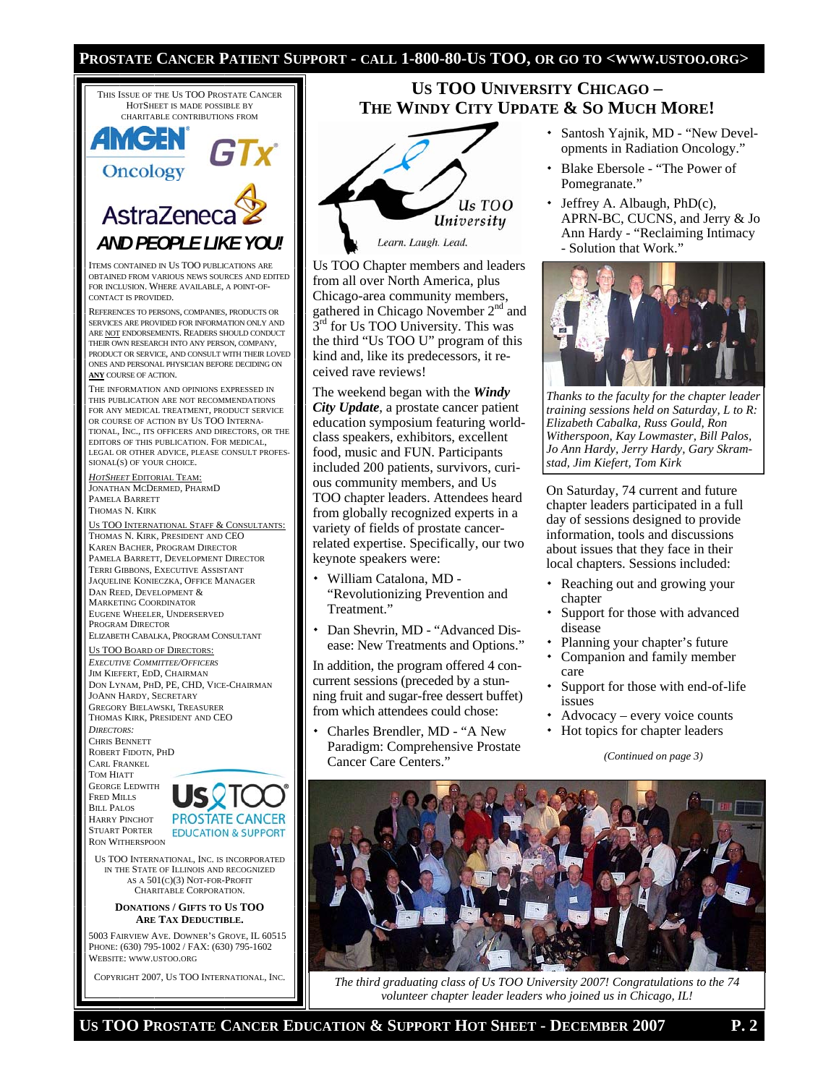#### **PROSTATE CANCER PATIENT SUPPORT - CALL 1-800-80-US TOO, OR GO TO <WWW.USTOO.ORG>**



COPYRIGHT 2007, US TOO INTERNATIONAL, INC.

# **THE WINDY CITY UPDATE & SO MUCH MORE!** Us TOO University

**US TOO UNIVERSITY CHICAGO –** 

Learn. Laugh. Lead.

Us TOO Chapter members and leaders from all over North America, plus Chicago-area community members, gathered in Chicago November 2<sup>nd</sup> and  $3<sup>rd</sup>$  for Us TOO University. This was the third "Us TOO U" program of this kind and, like its predecessors, it received rave reviews!

The weekend began with the *Windy City Update*, a prostate cancer patient education symposium featuring worldclass speakers, exhibitors, excellent food, music and FUN. Participants included 200 patients, survivors, curious community members, and Us TOO chapter leaders. Attendees heard from globally recognized experts in a variety of fields of prostate cancerrelated expertise. Specifically, our two keynote speakers were:

- William Catalona, MD "Revolutionizing Prevention and Treatment."
- Dan Shevrin, MD "Advanced Disease: New Treatments and Options."

In addition, the program offered 4 concurrent sessions (preceded by a stunning fruit and sugar-free dessert buffet) from which attendees could chose:

 Charles Brendler, MD - "A New Paradigm: Comprehensive Prostate Cancer Care Centers."

- Santosh Yajnik, MD "New Developments in Radiation Oncology."
- Blake Ebersole "The Power of Pomegranate."
- Jeffrey A. Albaugh, PhD(c), APRN-BC, CUCNS, and Jerry & Jo Ann Hardy - "Reclaiming Intimacy - Solution that Work."



*Thanks to the faculty for the chapter leader training sessions held on Saturday, L to R: Elizabeth Cabalka, Russ Gould, Ron Witherspoon, Kay Lowmaster, Bill Palos, Jo Ann Hardy, Jerry Hardy, Gary Skramstad, Jim Kiefert, Tom Kirk* 

On Saturday, 74 current and future chapter leaders participated in a full day of sessions designed to provide information, tools and discussions about issues that they face in their local chapters. Sessions included:

- Reaching out and growing your chapter
- Support for those with advanced disease
- Planning your chapter's future
- Companion and family member care
- Support for those with end-of-life issues
- Advocacy every voice counts
- Hot topics for chapter leaders

#### *(Continued on page 3)*



*The third graduating class of Us TOO University 2007! Congratulations to the 74 volunteer chapter leader leaders who joined us in Chicago, IL!*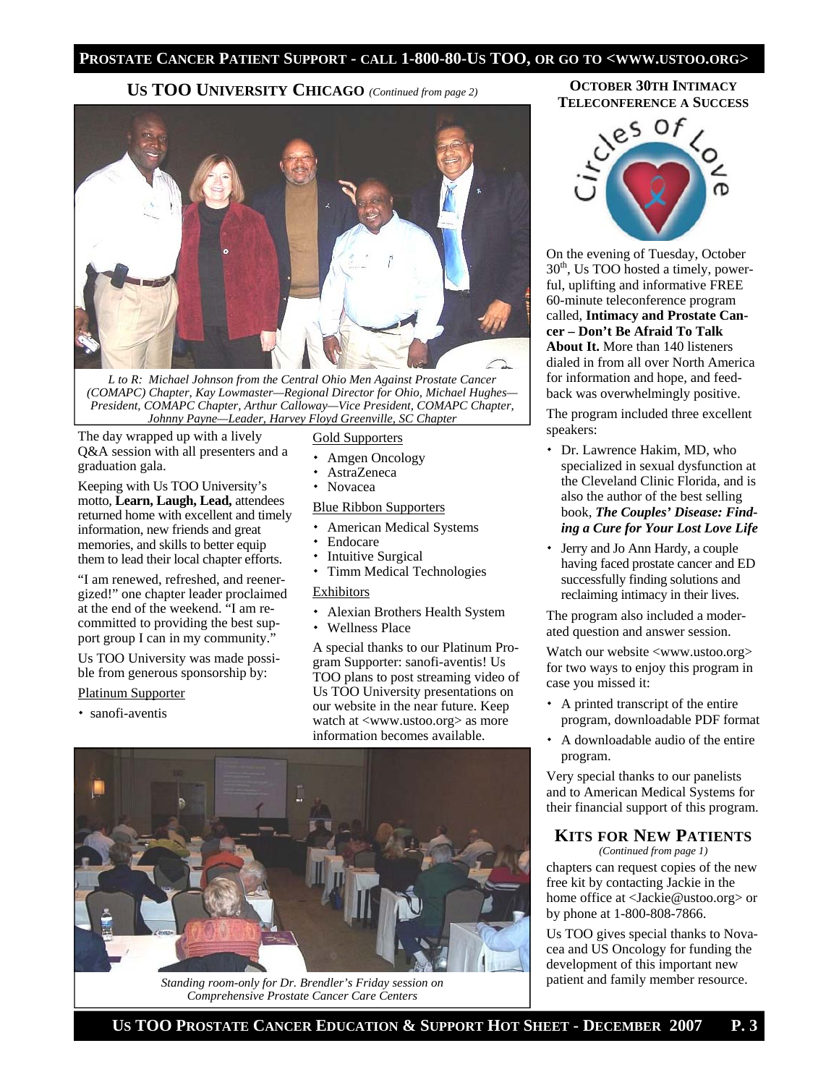#### **PROSTATE CANCER PATIENT SUPPORT - CALL 1-800-80-US TOO, OR GO TO <WWW.USTOO.ORG>**

# **US TOO UNIVERSITY CHICAGO** *(Continued from page 2)*



*L to R: Michael Johnson from the Central Ohio Men Against Prostate Cancer (COMAPC) Chapter, Kay Lowmaster—Regional Director for Ohio, Michael Hughes— President, COMAPC Chapter, Arthur Calloway—Vice President, COMAPC Chapter, Johnny Payne—Leader, Harvey Floyd Greenville, SC Chapter* 

The day wrapped up with a lively Q&A session with all presenters and a graduation gala.

Keeping with Us TOO University's motto, **Learn, Laugh, Lead,** attendees returned home with excellent and timely information, new friends and great memories, and skills to better equip them to lead their local chapter efforts.

"I am renewed, refreshed, and reenergized!" one chapter leader proclaimed at the end of the weekend. "I am recommitted to providing the best support group I can in my community."

Us TOO University was made possible from generous sponsorship by:

#### Platinum Supporter

sanofi-aventis

#### Gold Supporters

- Amgen Oncology
- AstraZeneca
- Novacea

#### Blue Ribbon Supporters

- American Medical Systems
- Endocare
- Intuitive Surgical
- Timm Medical Technologies

#### Exhibitors

- Alexian Brothers Health System
- Wellness Place

A special thanks to our Platinum Program Supporter: sanofi-aventis! Us TOO plans to post streaming video of Us TOO University presentations on our website in the near future. Keep watch at <www.ustoo.org> as more information becomes available.



*Standing room-only for Dr. Brendler's Friday session on Comprehensive Prostate Cancer Care Centers*

#### **OCTOBER 30TH INTIMACY TELECONFERENCE A SUCCESS**



On the evening of Tuesday, October 30<sup>th</sup>, Us TOO hosted a timely, powerful, uplifting and informative FREE 60-minute teleconference program called, **Intimacy and Prostate Cancer – Don't Be Afraid To Talk About It.** More than 140 listeners dialed in from all over North America for information and hope, and feedback was overwhelmingly positive.

The program included three excellent speakers:

- Dr. Lawrence Hakim, MD, who specialized in sexual dysfunction at the Cleveland Clinic Florida, and is also the author of the best selling book, *The Couples' Disease: Finding a Cure for Your Lost Love Life*
- Jerry and Jo Ann Hardy, a couple having faced prostate cancer and ED successfully finding solutions and reclaiming intimacy in their lives.

The program also included a moderated question and answer session.

Watch our website <www.ustoo.org> for two ways to enjoy this program in case you missed it:

- A printed transcript of the entire program, downloadable PDF format
- A downloadable audio of the entire program.

Very special thanks to our panelists and to American Medical Systems for their financial support of this program.

## **KITS FOR NEW PATIENTS**

*(Continued from page 1)* 

chapters can request copies of the new free kit by contacting Jackie in the home office at <Jackie@ustoo.org> or by phone at 1-800-808-7866.

Us TOO gives special thanks to Novacea and US Oncology for funding the development of this important new patient and family member resource.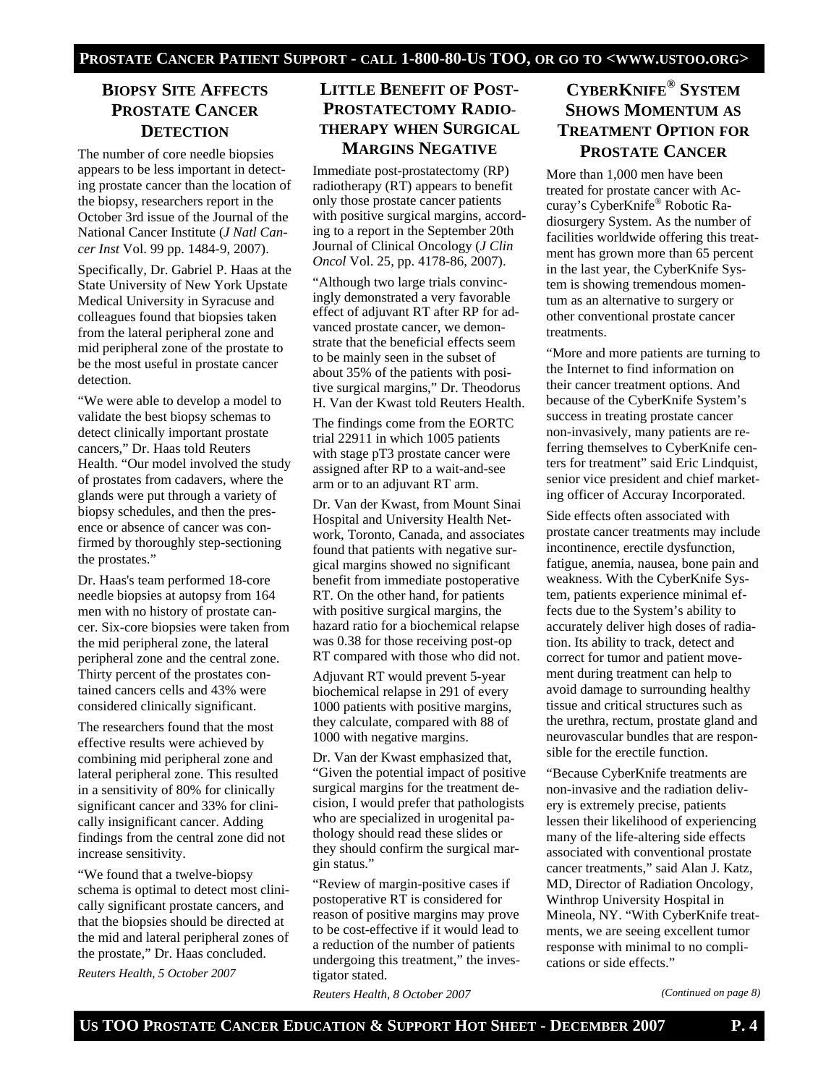# **BIOPSY SITE AFFECTS PROSTATE CANCER DETECTION**

The number of core needle biopsies appears to be less important in detecting prostate cancer than the location of the biopsy, researchers report in the October 3rd issue of the Journal of the National Cancer Institute (*J Natl Cancer Inst* Vol. 99 pp. 1484-9, 2007).

Specifically, Dr. Gabriel P. Haas at the State University of New York Upstate Medical University in Syracuse and colleagues found that biopsies taken from the lateral peripheral zone and mid peripheral zone of the prostate to be the most useful in prostate cancer detection.

"We were able to develop a model to validate the best biopsy schemas to detect clinically important prostate cancers," Dr. Haas told Reuters Health. "Our model involved the study of prostates from cadavers, where the glands were put through a variety of biopsy schedules, and then the presence or absence of cancer was confirmed by thoroughly step-sectioning the prostates."

Dr. Haas's team performed 18-core needle biopsies at autopsy from 164 men with no history of prostate cancer. Six-core biopsies were taken from the mid peripheral zone, the lateral peripheral zone and the central zone. Thirty percent of the prostates contained cancers cells and 43% were considered clinically significant.

The researchers found that the most effective results were achieved by combining mid peripheral zone and lateral peripheral zone. This resulted in a sensitivity of 80% for clinically significant cancer and 33% for clinically insignificant cancer. Adding findings from the central zone did not increase sensitivity.

"We found that a twelve-biopsy schema is optimal to detect most clinically significant prostate cancers, and that the biopsies should be directed at the mid and lateral peripheral zones of the prostate," Dr. Haas concluded.

*Reuters Health, 5 October 2007* 

# **LITTLE BENEFIT OF POST-PROSTATECTOMY RADIO-THERAPY WHEN SURGICAL MARGINS NEGATIVE**

Immediate post-prostatectomy (RP) radiotherapy (RT) appears to benefit only those prostate cancer patients with positive surgical margins, according to a report in the September 20th Journal of Clinical Oncology (*J Clin Oncol* Vol. 25, pp. 4178-86, 2007).

"Although two large trials convincingly demonstrated a very favorable effect of adjuvant RT after RP for advanced prostate cancer, we demonstrate that the beneficial effects seem to be mainly seen in the subset of about 35% of the patients with positive surgical margins," Dr. Theodorus H. Van der Kwast told Reuters Health.

The findings come from the EORTC trial 22911 in which 1005 patients with stage pT3 prostate cancer were assigned after RP to a wait-and-see arm or to an adjuvant RT arm.

Dr. Van der Kwast, from Mount Sinai Hospital and University Health Network, Toronto, Canada, and associates found that patients with negative surgical margins showed no significant benefit from immediate postoperative RT. On the other hand, for patients with positive surgical margins, the hazard ratio for a biochemical relapse was 0.38 for those receiving post-op RT compared with those who did not.

Adjuvant RT would prevent 5-year biochemical relapse in 291 of every 1000 patients with positive margins, they calculate, compared with 88 of 1000 with negative margins.

Dr. Van der Kwast emphasized that, "Given the potential impact of positive surgical margins for the treatment decision, I would prefer that pathologists who are specialized in urogenital pathology should read these slides or they should confirm the surgical margin status."

"Review of margin-positive cases if postoperative RT is considered for reason of positive margins may prove to be cost-effective if it would lead to a reduction of the number of patients undergoing this treatment," the investigator stated.

*Reuters Health, 8 October 2007* 

# **CYBERKNIFE® SYSTEM SHOWS MOMENTUM AS TREATMENT OPTION FOR PROSTATE CANCER**

More than 1,000 men have been treated for prostate cancer with Accuray's CyberKnife® Robotic Radiosurgery System. As the number of facilities worldwide offering this treatment has grown more than 65 percent in the last year, the CyberKnife System is showing tremendous momentum as an alternative to surgery or other conventional prostate cancer treatments.

"More and more patients are turning to the Internet to find information on their cancer treatment options. And because of the CyberKnife System's success in treating prostate cancer non-invasively, many patients are referring themselves to CyberKnife centers for treatment" said Eric Lindquist, senior vice president and chief marketing officer of Accuray Incorporated.

Side effects often associated with prostate cancer treatments may include incontinence, erectile dysfunction, fatigue, anemia, nausea, bone pain and weakness. With the CyberKnife System, patients experience minimal effects due to the System's ability to accurately deliver high doses of radiation. Its ability to track, detect and correct for tumor and patient movement during treatment can help to avoid damage to surrounding healthy tissue and critical structures such as the urethra, rectum, prostate gland and neurovascular bundles that are responsible for the erectile function.

"Because CyberKnife treatments are non-invasive and the radiation delivery is extremely precise, patients lessen their likelihood of experiencing many of the life-altering side effects associated with conventional prostate cancer treatments," said Alan J. Katz, MD, Director of Radiation Oncology, Winthrop University Hospital in Mineola, NY. "With CyberKnife treatments, we are seeing excellent tumor response with minimal to no complications or side effects."

*(Continued on page 8)*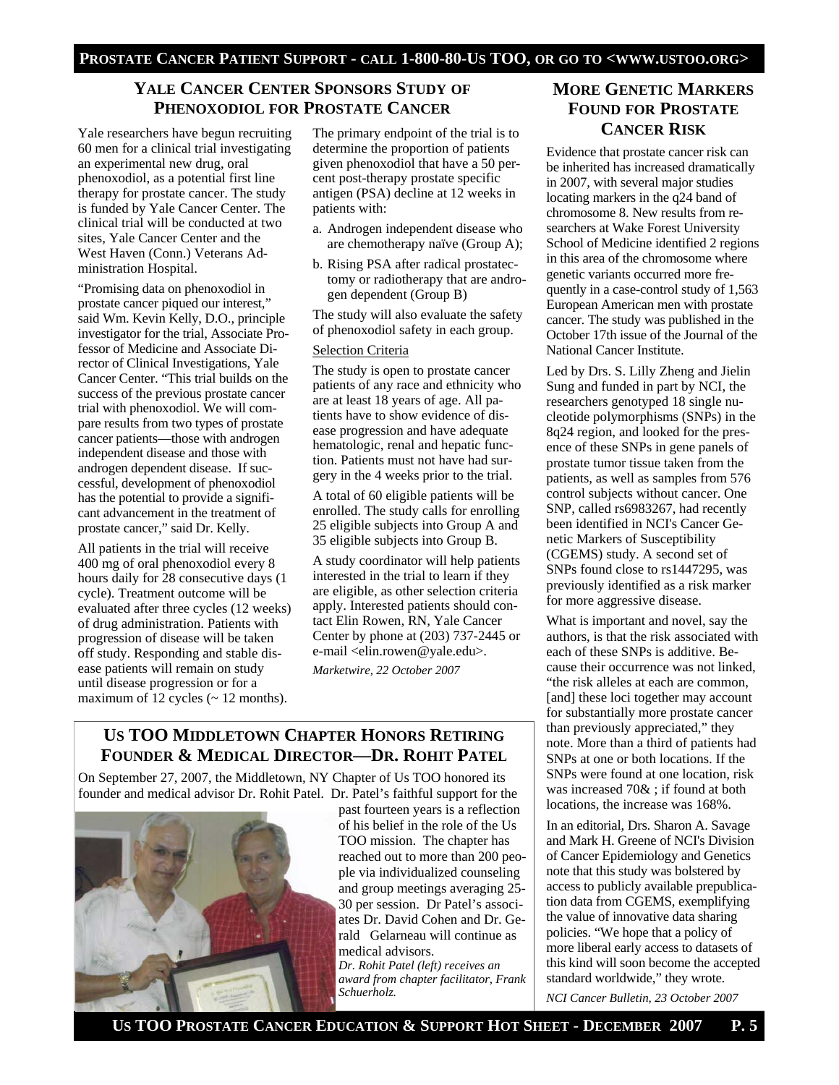# **YALE CANCER CENTER SPONSORS STUDY OF PHENOXODIOL FOR PROSTATE CANCER**

Yale researchers have begun recruiting 60 men for a clinical trial investigating an experimental new drug, oral phenoxodiol, as a potential first line therapy for prostate cancer. The study is funded by Yale Cancer Center. The clinical trial will be conducted at two sites, Yale Cancer Center and the West Haven (Conn.) Veterans Administration Hospital.

"Promising data on phenoxodiol in prostate cancer piqued our interest," said Wm. Kevin Kelly, D.O., principle investigator for the trial, Associate Professor of Medicine and Associate Director of Clinical Investigations, Yale Cancer Center. "This trial builds on the success of the previous prostate cancer trial with phenoxodiol. We will compare results from two types of prostate cancer patients—those with androgen independent disease and those with androgen dependent disease. If successful, development of phenoxodiol has the potential to provide a significant advancement in the treatment of prostate cancer," said Dr. Kelly.

All patients in the trial will receive 400 mg of oral phenoxodiol every 8 hours daily for 28 consecutive days (1 cycle). Treatment outcome will be evaluated after three cycles (12 weeks) of drug administration. Patients with progression of disease will be taken off study. Responding and stable disease patients will remain on study until disease progression or for a maximum of 12 cycles  $($   $\sim$  12 months).

The primary endpoint of the trial is to determine the proportion of patients given phenoxodiol that have a 50 percent post-therapy prostate specific antigen (PSA) decline at 12 weeks in patients with:

- a. Androgen independent disease who are chemotherapy naïve (Group A);
- b. Rising PSA after radical prostatectomy or radiotherapy that are androgen dependent (Group B)

The study will also evaluate the safety of phenoxodiol safety in each group.

#### Selection Criteria

The study is open to prostate cancer patients of any race and ethnicity who are at least 18 years of age. All patients have to show evidence of disease progression and have adequate hematologic, renal and hepatic function. Patients must not have had surgery in the 4 weeks prior to the trial.

A total of 60 eligible patients will be enrolled. The study calls for enrolling 25 eligible subjects into Group A and 35 eligible subjects into Group B.

A study coordinator will help patients interested in the trial to learn if they are eligible, as other selection criteria apply. Interested patients should contact Elin Rowen, RN, Yale Cancer Center by phone at (203) 737-2445 or e-mail <elin.rowen@yale.edu>.

*Marketwire, 22 October 2007* 

# **US TOO MIDDLETOWN CHAPTER HONORS RETIRING FOUNDER & MEDICAL DIRECTOR—DR. ROHIT PATEL**

On September 27, 2007, the Middletown, NY Chapter of Us TOO honored its founder and medical advisor Dr. Rohit Patel. Dr. Patel's faithful support for the



past fourteen years is a reflection of his belief in the role of the Us TOO mission. The chapter has reached out to more than 200 people via individualized counseling and group meetings averaging 25- 30 per session. Dr Patel's associates Dr. David Cohen and Dr. Gerald Gelarneau will continue as medical advisors. *Dr. Rohit Patel (left) receives an award from chapter facilitator, Frank Schuerholz.* 

# **MORE GENETIC MARKERS FOUND FOR PROSTATE CANCER RISK**

Evidence that prostate cancer risk can be inherited has increased dramatically in 2007, with several major studies locating markers in the q24 band of chromosome 8. New results from researchers at Wake Forest University School of Medicine identified 2 regions in this area of the chromosome where genetic variants occurred more frequently in a case-control study of 1,563 European American men with prostate cancer. The study was published in the October 17th issue of the Journal of the National Cancer Institute.

Led by Drs. S. Lilly Zheng and Jielin Sung and funded in part by NCI, the researchers genotyped 18 single nucleotide polymorphisms (SNPs) in the 8q24 region, and looked for the presence of these SNPs in gene panels of prostate tumor tissue taken from the patients, as well as samples from 576 control subjects without cancer. One SNP, called rs6983267, had recently been identified in NCI's Cancer Genetic Markers of Susceptibility (CGEMS) study. A second set of SNPs found close to rs1447295, was previously identified as a risk marker for more aggressive disease.

What is important and novel, say the authors, is that the risk associated with each of these SNPs is additive. Because their occurrence was not linked, "the risk alleles at each are common, [and] these loci together may account for substantially more prostate cancer than previously appreciated," they note. More than a third of patients had SNPs at one or both locations. If the SNPs were found at one location, risk was increased 70& ; if found at both locations, the increase was 168%.

In an editorial, Drs. Sharon A. Savage and Mark H. Greene of NCI's Division of Cancer Epidemiology and Genetics note that this study was bolstered by access to publicly available prepublication data from CGEMS, exemplifying the value of innovative data sharing policies. "We hope that a policy of more liberal early access to datasets of this kind will soon become the accepted standard worldwide," they wrote.

*NCI Cancer Bulletin, 23 October 2007*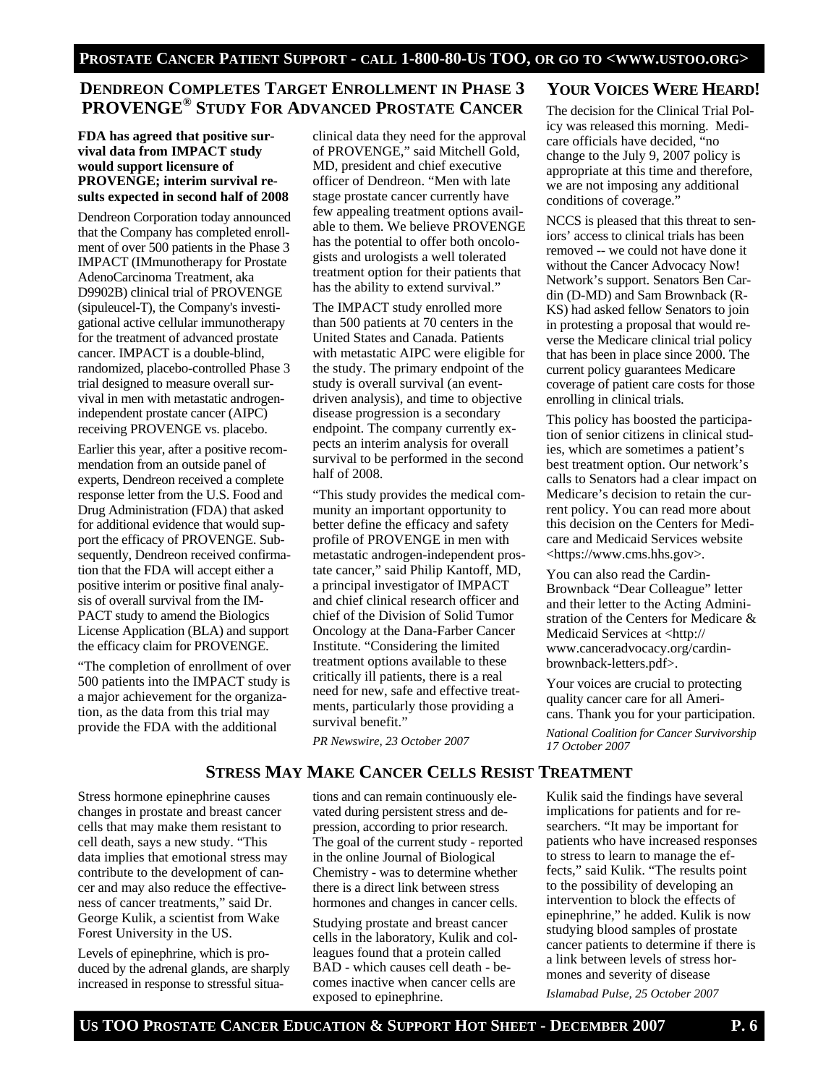# **DENDREON COMPLETES TARGET ENROLLMENT IN PHASE 3 PROVENGE® STUDY FOR ADVANCED PROSTATE CANCER**

#### **FDA has agreed that positive survival data from IMPACT study would support licensure of PROVENGE; interim survival results expected in second half of 2008**

Dendreon Corporation today announced that the Company has completed enrollment of over 500 patients in the Phase 3 IMPACT (IMmunotherapy for Prostate AdenoCarcinoma Treatment, aka D9902B) clinical trial of PROVENGE (sipuleucel-T), the Company's investigational active cellular immunotherapy for the treatment of advanced prostate cancer. IMPACT is a double-blind, randomized, placebo-controlled Phase 3 trial designed to measure overall survival in men with metastatic androgenindependent prostate cancer (AIPC) receiving PROVENGE vs. placebo.

Earlier this year, after a positive recommendation from an outside panel of experts, Dendreon received a complete response letter from the U.S. Food and Drug Administration (FDA) that asked for additional evidence that would support the efficacy of PROVENGE. Subsequently, Dendreon received confirmation that the FDA will accept either a positive interim or positive final analysis of overall survival from the IM-PACT study to amend the Biologics License Application (BLA) and support the efficacy claim for PROVENGE.

"The completion of enrollment of over 500 patients into the IMPACT study is a major achievement for the organization, as the data from this trial may provide the FDA with the additional

clinical data they need for the approval of PROVENGE," said Mitchell Gold, MD, president and chief executive officer of Dendreon. "Men with late stage prostate cancer currently have few appealing treatment options available to them. We believe PROVENGE has the potential to offer both oncologists and urologists a well tolerated treatment option for their patients that has the ability to extend survival."

The IMPACT study enrolled more than 500 patients at 70 centers in the United States and Canada. Patients with metastatic AIPC were eligible for the study. The primary endpoint of the study is overall survival (an eventdriven analysis), and time to objective disease progression is a secondary endpoint. The company currently expects an interim analysis for overall survival to be performed in the second half of 2008.

"This study provides the medical community an important opportunity to better define the efficacy and safety profile of PROVENGE in men with metastatic androgen-independent prostate cancer," said Philip Kantoff, MD, a principal investigator of IMPACT and chief clinical research officer and chief of the Division of Solid Tumor Oncology at the Dana-Farber Cancer Institute. "Considering the limited treatment options available to these critically ill patients, there is a real need for new, safe and effective treatments, particularly those providing a survival benefit."

*PR Newswire, 23 October 2007*

## **YOUR VOICES WERE HEARD!**

The decision for the Clinical Trial Policy was released this morning. Medicare officials have decided, "no change to the July 9, 2007 policy is appropriate at this time and therefore, we are not imposing any additional conditions of coverage."

NCCS is pleased that this threat to seniors' access to clinical trials has been removed -- we could not have done it without the Cancer Advocacy Now! Network's support. Senators Ben Cardin (D-MD) and Sam Brownback (R-KS) had asked fellow Senators to join in protesting a proposal that would reverse the Medicare clinical trial policy that has been in place since 2000. The current policy guarantees Medicare coverage of patient care costs for those enrolling in clinical trials.

This policy has boosted the participation of senior citizens in clinical studies, which are sometimes a patient's best treatment option. Our network's calls to Senators had a clear impact on Medicare's decision to retain the current policy. You can read more about this decision on the Centers for Medicare and Medicaid Services website <https://www.cms.hhs.gov>.

You can also read the Cardin-Brownback "Dear Colleague" letter and their letter to the Acting Administration of the Centers for Medicare & Medicaid Services at <http:// www.canceradvocacy.org/cardinbrownback-letters.pdf>.

Your voices are crucial to protecting quality cancer care for all Americans. Thank you for your participation.

*National Coalition for Cancer Survivorship 17 October 2007* 

# **STRESS MAY MAKE CANCER CELLS RESIST TREATMENT**

Stress hormone epinephrine causes changes in prostate and breast cancer cells that may make them resistant to cell death, says a new study. "This data implies that emotional stress may contribute to the development of cancer and may also reduce the effectiveness of cancer treatments," said Dr. George Kulik, a scientist from Wake Forest University in the US.

Levels of epinephrine, which is produced by the adrenal glands, are sharply increased in response to stressful situa-

tions and can remain continuously elevated during persistent stress and depression, according to prior research. The goal of the current study - reported in the online Journal of Biological Chemistry - was to determine whether there is a direct link between stress hormones and changes in cancer cells.

Studying prostate and breast cancer cells in the laboratory, Kulik and colleagues found that a protein called BAD - which causes cell death - becomes inactive when cancer cells are exposed to epinephrine.

Kulik said the findings have several implications for patients and for researchers. "It may be important for patients who have increased responses to stress to learn to manage the effects," said Kulik. "The results point to the possibility of developing an intervention to block the effects of epinephrine," he added. Kulik is now studying blood samples of prostate cancer patients to determine if there is a link between levels of stress hormones and severity of disease

*Islamabad Pulse, 25 October 2007*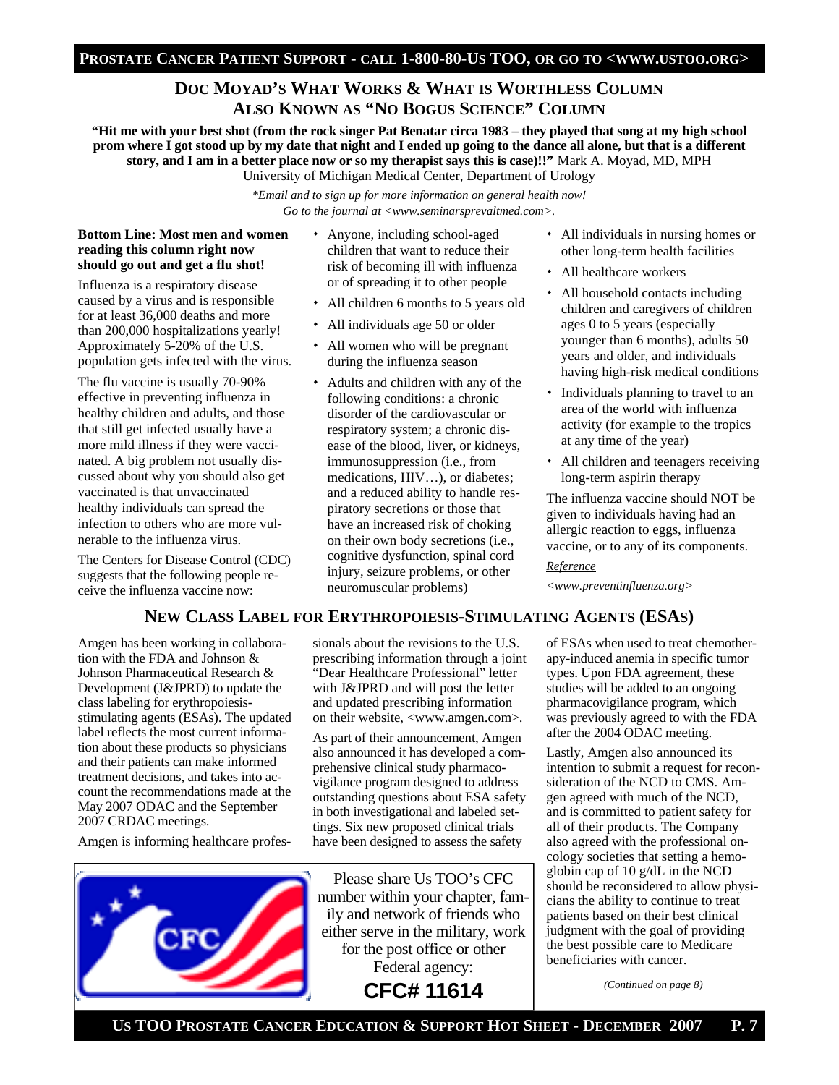# **DOC MOYAD'S WHAT WORKS & WHAT IS WORTHLESS COLUMN ALSO KNOWN AS "NO BOGUS SCIENCE" COLUMN**

**"Hit me with your best shot (from the rock singer Pat Benatar circa 1983 – they played that song at my high school prom where I got stood up by my date that night and I ended up going to the dance all alone, but that is a different story, and I am in a better place now or so my therapist says this is case)!!"** Mark A. Moyad, MD, MPH University of Michigan Medical Center, Department of Urology

> *\*Email and to sign up for more information on general health now! Go to the journal at <www.seminarsprevaltmed.com>.*

#### **Bottom Line: Most men and women reading this column right now should go out and get a flu shot!**

Influenza is a respiratory disease caused by a virus and is responsible for at least 36,000 deaths and more than 200,000 hospitalizations yearly! Approximately 5-20% of the U.S. population gets infected with the virus.

The flu vaccine is usually 70-90% effective in preventing influenza in healthy children and adults, and those that still get infected usually have a more mild illness if they were vaccinated. A big problem not usually discussed about why you should also get vaccinated is that unvaccinated healthy individuals can spread the infection to others who are more vulnerable to the influenza virus.

The Centers for Disease Control (CDC) suggests that the following people receive the influenza vaccine now:

- Anyone, including school-aged children that want to reduce their risk of becoming ill with influenza or of spreading it to other people
- All children 6 months to 5 years old
- All individuals age 50 or older
- All women who will be pregnant during the influenza season
- Adults and children with any of the following conditions: a chronic disorder of the cardiovascular or respiratory system; a chronic disease of the blood, liver, or kidneys, immunosuppression (i.e., from medications, HIV…), or diabetes; and a reduced ability to handle respiratory secretions or those that have an increased risk of choking on their own body secretions (i.e., cognitive dysfunction, spinal cord injury, seizure problems, or other neuromuscular problems)
- All individuals in nursing homes or other long-term health facilities
- All healthcare workers
- All household contacts including children and caregivers of children ages 0 to 5 years (especially younger than 6 months), adults 50 years and older, and individuals having high-risk medical conditions
- Individuals planning to travel to an area of the world with influenza activity (for example to the tropics at any time of the year)
- All children and teenagers receiving long-term aspirin therapy

The influenza vaccine should NOT be given to individuals having had an allergic reaction to eggs, influenza vaccine, or to any of its components.

#### *Reference*

*<www.preventinfluenza.org>* 

#### **NEW CLASS LABEL FOR ERYTHROPOIESIS-STIMULATING AGENTS (ESAS)**

Amgen has been working in collaboration with the FDA and Johnson & Johnson Pharmaceutical Research & Development (J&JPRD) to update the class labeling for erythropoiesisstimulating agents (ESAs). The updated label reflects the most current information about these products so physicians and their patients can make informed treatment decisions, and takes into account the recommendations made at the May 2007 ODAC and the September 2007 CRDAC meetings.

Amgen is informing healthcare profes-



sionals about the revisions to the U.S. prescribing information through a joint "Dear Healthcare Professional" letter with J&JPRD and will post the letter and updated prescribing information on their website, <www.amgen.com>.

As part of their announcement, Amgen also announced it has developed a comprehensive clinical study pharmacovigilance program designed to address outstanding questions about ESA safety in both investigational and labeled settings. Six new proposed clinical trials have been designed to assess the safety

Please share Us TOO's CFC number within your chapter, family and network of friends who either serve in the military, work for the post office or other Federal agency: **CFC# 11614** 

of ESAs when used to treat chemotherapy-induced anemia in specific tumor types. Upon FDA agreement, these studies will be added to an ongoing pharmacovigilance program, which was previously agreed to with the FDA after the 2004 ODAC meeting.

Lastly, Amgen also announced its intention to submit a request for reconsideration of the NCD to CMS. Amgen agreed with much of the NCD, and is committed to patient safety for all of their products. The Company also agreed with the professional oncology societies that setting a hemoglobin cap of 10 g/dL in the NCD should be reconsidered to allow physicians the ability to continue to treat patients based on their best clinical judgment with the goal of providing the best possible care to Medicare beneficiaries with cancer.

*(Continued on page 8)*